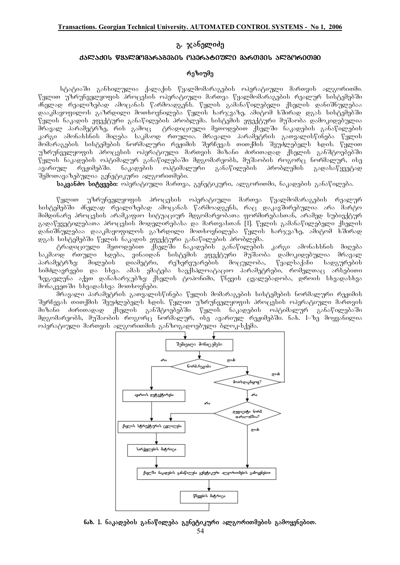# გ. ჯანელიძ<u>ე</u>

#### d**arado wyaramaa6agaad maa6a60720 aa60306 aram6000a**

#### რეზიუმე

სტატიაში განხილულია ქალაქის წყალმომარაგების ოპერატიული მართვის ალგორითმი. წყლით უზრუნველყოფის პროცესის ოპერატიული მართვა წყალშომარაგების რეალურ სისტემებში Znelad realizebad amocanas warmoadgens. wylis gamanawilebeli qselis daniSnulebaa დააკმაყოფილოს გაზრდილი მოთხოვნილება წყლის ხარჯვაზე, ამიტომ ხშირად დგას სისტემებში .<br>წყლის ნაკადის ეფექტური განაწილების პრობლემა. სისტემის ეფექტური მუშაობა დამოკიდებულია. ორავალ პარამეტრზე, რის გამოც დერადიციული მეთოდებით ქსელში ნაკადების განაწილების კარგი ამონახსნის მიღება საკმაოდ რთულია. მრავალი პარამეტრის გათვალისწინება წყლის .<br>მომარაგების სისტემების ნორმალური რეჟიმის შერჩევას თითქმის შეუძლებელს ხდის. წყლით უზრუნველყოფის პროცესის ოპერატიული მართვის მიზანი ძირითადად ქსელის განშტოებებში. წყლის ნაკადების ოპტიმალურ განაწილებაში მდგომარეობს, მუშაობის როგორც ნორმალურ, ისე ავარიულ რეჟიმებში. ნაკადების ოპტიმალური განაწილების პრობლემის გადასაწყვეტად შუმოთავაზებულია გენეტიკური ალგორითმები.

**საკვანძო სიტყვები:** ოპერატიული მართვა, გენეტიკური, ალგორითმი, ნაკადების განაწილება.

წყლით უზრუნველყოფის პროცესის ოპერატიული მართვა წყალმომარაგების რეალურ სისტემებში ძნელად რეალიზებად ამოცანას წარმოადგენს, რაც დაკავშირებულია არა მარტო მიმდინარე პროცესის არამკაფიო სიტუაციურ მდგომარეობათა ფორმირებასთან, არამედ სუბიექტურ  $\alpha$ ადაწყვეტილებათა პროცესის მოდელირებასა და მართვასთან [1]. წყლის გამანაწილებელი ქსელის დანიშნულებაა დააკმაყოფილოს გაზრდილი მოთხოვნილება წყლის ხარჯვაზე, ამიტომ ხშირად ggas bobogadad iggan bosagoob agadayoo asosfogadob doodgada.

ტრადიციული მეთოდებით ქსელში ნაკადების განაწილების კარგი ამონახსნის მიღება საკმაოდ რთული ხდება, ვინაიდან სისტემის ეფექტური მუშაობა დამოკიდებულია მრავალ პარამეტრზე: მილების დიამეტრი, რეზერვუარების მოცულობა, წყალსაქაჩი სადგურების სიმძლავრეები და სხვა. ამას ემატება საექსპლოატაციო პარამეტრები, რომელთაც არსებითი ზეგავლენა აქვთ დანახარჯებზე: ქსელის გოპონიმი, წნევის ცვალებადობა, დროის სხვადასხვა debaggando bbaspabbas demberabado.

.<br>მრავალი პარამეტრის გათვალისწინება წყლის მომარაგების სისტემების ნორმალური რეჟიმის <u>შერჩევას თითქმის შეუძლებელს ხდის. წყლით უზრუნველყოფის პროცესის ოპერატიული მართვის</u> მიზანი ძირითადად ქსელის განშტოებებში წყლის ნაკადების ოპტიმალურ განაწილებაში მდგომარეობს, მუშაობის როგორც ნორმალურ, ისე ავარიულ რეჟიმებში. ნახ. 1–ზე მოყვანილია ოპერატიული მართვის ალგორითმის განზოგადოებული ბლოკ-სქემა.



ნახ. 1. ნაკადების განაწილება გენეტიკური ალგორითმების გამოყენებით.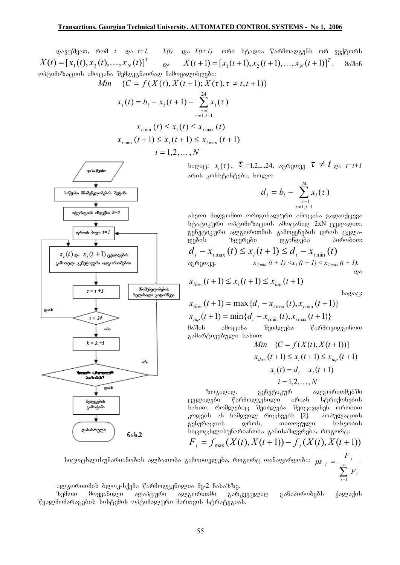დავუშვათ, რომ  $t = \cos t + 1$ ,  $X(t)$  და  $X(t+1)$  ორი სტადია წარმოადგენს ორ ვექტორს  $X(t) = [x_1(t), x_2(t),...,x_N(t)]^T$   $\qquad$   $\infty$   $X(t+1) = [x_1(t+1), x_2(t+1),...,x_N(t+1)]^T$ , მაშინ ოპტიმიზაციის ამოცანა შემდეგნაირად ჩამოყალიბდება:

Min 
$$
\{C = f(X(t), X(t+1); X(\tau), \tau \neq t, t+1)\}
$$

$$
x_i(t) = b_i - x_i(t+1) - \sum_{\tau=1 \atop \tau \neq 1, t+1}^{24} x_i(\tau)
$$

$$
x_{i \min}(t) \le x_i(t) \le x_{i \max}(t)
$$

$$
x_{i \min}(t+1) \le x_i(t+1) \le x_{i \max}(t+1)
$$

 $i = 1, 2, ..., N$ 

bsgs( $x_i(\tau)$ ,  $\tau$  =1,2,...,24, sg6gogg  $\tau \neq t$  gs  $t=t+1$ არის კონსტანტები, ხოლო

$$
d_i = b_i - \sum_{\substack{\tau=1 \ \tau \neq 1, t+1}}^{24} x_i(\tau)
$$

ასეთი მიდგომით ორიგინალური ამოცანა გადაიქცევა სტატიკური ოპტიმიზაციის ამოცანად 2xN ცვლადით. გენეტიკური ალგორითმის გამოყენების დროს ცვლაზღვრები დგინდება პირობით: დების  $\mathcal{L}$ 

 $x_{i l o w}(t+1) \leq x_i(t+1) \leq x_{i u n}(t+1)$ 

სადაც:

$$
x_{ilow}(t+1) = \max \{d_i - x_{i\max}(t), x_{i\min}(t+1)\}
$$

$$
x_{i\mu p}(t+1) = \min \{d_i - x_{i\min}(t), x_{i\max}(t+1)\}
$$

მაშინ ამოცანა შეიძლება წარმოვიდგინოთ გამარტივებული სახით:

Min 
$$
\{C = f(X(t), X(t+1))\}
$$

$$
x_{ilow}(t+1) \le x_i(t+1) \le x_{iup}(t+1)
$$

$$
x_i(t) = d_i - x_i(t+1)
$$

$$
i = 1, 2, ..., N
$$

გენეტიკურ ალგორითმებში ზოგადად, არიან წარმოდგენილი ცვლადები სტრიქონების სახით, რომლებიც შეიძლება შეიცავდნენ ორობით კოდებს ან ნამდვილ რიცხვებს [2]. პოპულაციის გენერაციის დროს, തറത**ന്യൂ**യറ სახეობის სიცოცხლისუნარიანობა განისაზღვრება, როგორც:

$$
F_j = f_{\max}(X(t), X(t+1)) - f_j(X(t), X(t+1))
$$

სიცოცხლისუნარიანობის ალბათობა გამოითვლება, როგორც თანაფარდობა:  $ps_j = \frac{F_j}{\sum_{i=1}^{m} F_i}$ 

ალგორითმის ბლოკ-სქემა წარმოდგენილია მე-2 ნახაზზე.

მოყვანილი ადაპტური ალგორითმი განაპირობებს ზემოთ გარკვეულად ქალაქის წყალმომარაგების სისტემის ოპტიმალური მართვის სტრატეგიას.